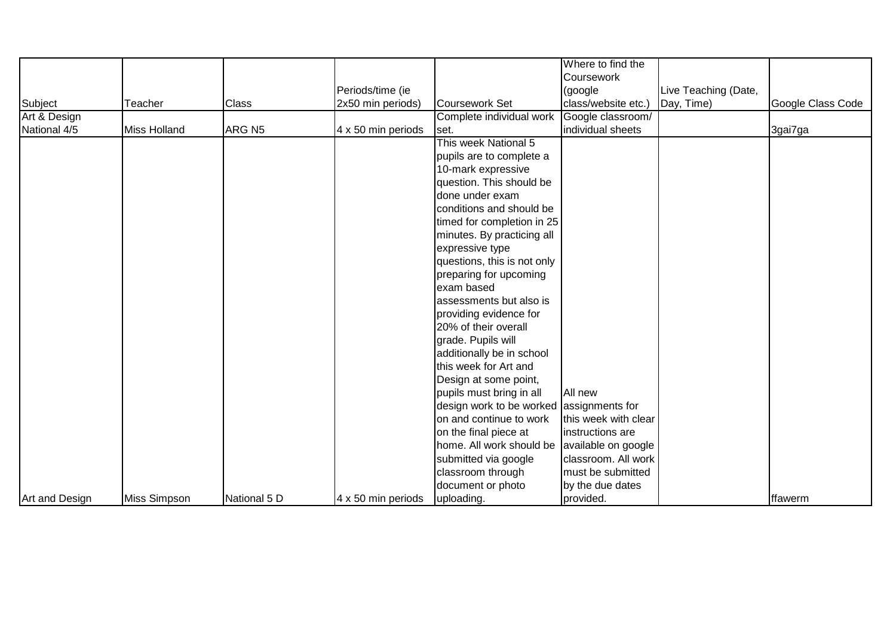|                |              |                    |                    |                                          | Where to find the    |                      |                   |
|----------------|--------------|--------------------|--------------------|------------------------------------------|----------------------|----------------------|-------------------|
|                |              |                    |                    |                                          | Coursework           |                      |                   |
|                |              |                    | Periods/time (ie   |                                          | (google              | Live Teaching (Date, |                   |
| Subject        | Teacher      | <b>Class</b>       | 2x50 min periods)  | Coursework Set                           | class/website etc.)  | Day, Time)           | Google Class Code |
| Art & Design   |              |                    |                    | Complete individual work                 | Google classroom/    |                      |                   |
| National 4/5   | Miss Holland | ARG N <sub>5</sub> | 4 x 50 min periods | set.                                     | individual sheets    |                      | 3gai7ga           |
|                |              |                    |                    | This week National 5                     |                      |                      |                   |
|                |              |                    |                    | pupils are to complete a                 |                      |                      |                   |
|                |              |                    |                    | 10-mark expressive                       |                      |                      |                   |
|                |              |                    |                    | question. This should be                 |                      |                      |                   |
|                |              |                    |                    | done under exam                          |                      |                      |                   |
|                |              |                    |                    | conditions and should be                 |                      |                      |                   |
|                |              |                    |                    | timed for completion in 25               |                      |                      |                   |
|                |              |                    |                    | minutes. By practicing all               |                      |                      |                   |
|                |              |                    |                    | expressive type                          |                      |                      |                   |
|                |              |                    |                    | questions, this is not only              |                      |                      |                   |
|                |              |                    |                    | preparing for upcoming                   |                      |                      |                   |
|                |              |                    |                    | exam based                               |                      |                      |                   |
|                |              |                    |                    | assessments but also is                  |                      |                      |                   |
|                |              |                    |                    | providing evidence for                   |                      |                      |                   |
|                |              |                    |                    | 20% of their overall                     |                      |                      |                   |
|                |              |                    |                    | grade. Pupils will                       |                      |                      |                   |
|                |              |                    |                    | additionally be in school                |                      |                      |                   |
|                |              |                    |                    | this week for Art and                    |                      |                      |                   |
|                |              |                    |                    | Design at some point,                    |                      |                      |                   |
|                |              |                    |                    | pupils must bring in all                 | All new              |                      |                   |
|                |              |                    |                    | design work to be worked assignments for |                      |                      |                   |
|                |              |                    |                    | on and continue to work                  | this week with clear |                      |                   |
|                |              |                    |                    | on the final piece at                    | instructions are     |                      |                   |
|                |              |                    |                    | home. All work should be                 | available on google  |                      |                   |
|                |              |                    |                    | submitted via google                     | classroom. All work  |                      |                   |
|                |              |                    |                    | classroom through                        | must be submitted    |                      |                   |
|                |              |                    |                    | document or photo                        | by the due dates     |                      |                   |
| Art and Design | Miss Simpson | National 5 D       | 4 x 50 min periods | uploading.                               | provided.            |                      | ffawerm           |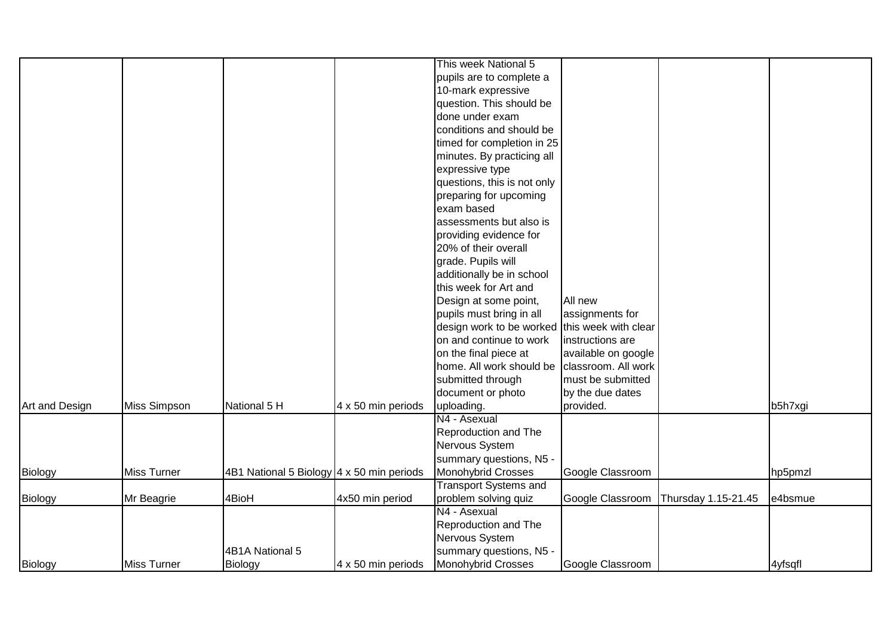|                |              |                                           |                    | This week National 5                          |                     |                     |         |
|----------------|--------------|-------------------------------------------|--------------------|-----------------------------------------------|---------------------|---------------------|---------|
|                |              |                                           |                    | pupils are to complete a                      |                     |                     |         |
|                |              |                                           |                    | 10-mark expressive                            |                     |                     |         |
|                |              |                                           |                    | question. This should be                      |                     |                     |         |
|                |              |                                           |                    | done under exam                               |                     |                     |         |
|                |              |                                           |                    | conditions and should be                      |                     |                     |         |
|                |              |                                           |                    | timed for completion in 25                    |                     |                     |         |
|                |              |                                           |                    | minutes. By practicing all                    |                     |                     |         |
|                |              |                                           |                    | expressive type                               |                     |                     |         |
|                |              |                                           |                    | questions, this is not only                   |                     |                     |         |
|                |              |                                           |                    | preparing for upcoming                        |                     |                     |         |
|                |              |                                           |                    | exam based                                    |                     |                     |         |
|                |              |                                           |                    | assessments but also is                       |                     |                     |         |
|                |              |                                           |                    | providing evidence for                        |                     |                     |         |
|                |              |                                           |                    | 20% of their overall                          |                     |                     |         |
|                |              |                                           |                    | grade. Pupils will                            |                     |                     |         |
|                |              |                                           |                    | additionally be in school                     |                     |                     |         |
|                |              |                                           |                    | this week for Art and                         |                     |                     |         |
|                |              |                                           |                    | Design at some point,                         | All new             |                     |         |
|                |              |                                           |                    | pupils must bring in all                      | assignments for     |                     |         |
|                |              |                                           |                    | design work to be worked this week with clear |                     |                     |         |
|                |              |                                           |                    | on and continue to work                       | instructions are    |                     |         |
|                |              |                                           |                    | on the final piece at                         | available on google |                     |         |
|                |              |                                           |                    | home. All work should be                      | classroom. All work |                     |         |
|                |              |                                           |                    | submitted through                             | must be submitted   |                     |         |
|                |              |                                           |                    | document or photo                             | by the due dates    |                     |         |
| Art and Design | Miss Simpson | National 5 H                              | 4 x 50 min periods | uploading.                                    | provided.           |                     | b5h7xgi |
|                |              |                                           |                    | N4 - Asexual                                  |                     |                     |         |
|                |              |                                           |                    | Reproduction and The                          |                     |                     |         |
|                |              |                                           |                    | Nervous System                                |                     |                     |         |
|                |              |                                           |                    | summary questions, N5 -                       |                     |                     |         |
| Biology        | Miss Turner  | 4B1 National 5 Biology 4 x 50 min periods |                    | Monohybrid Crosses                            | Google Classroom    |                     | hp5pmzl |
|                |              |                                           |                    | <b>Transport Systems and</b>                  |                     |                     |         |
| Biology        | Mr Beagrie   | 4BioH                                     | 4x50 min period    | problem solving quiz                          | Google Classroom    | Thursday 1.15-21.45 | e4bsmue |
|                |              |                                           |                    | N4 - Asexual                                  |                     |                     |         |
|                |              |                                           |                    | Reproduction and The                          |                     |                     |         |
|                |              |                                           |                    | Nervous System                                |                     |                     |         |
|                |              | 4B1A National 5                           |                    | summary questions, N5 -                       |                     |                     |         |
| Biology        | Miss Turner  | Biology                                   | 4 x 50 min periods | Monohybrid Crosses                            | Google Classroom    |                     | 4yfsqfl |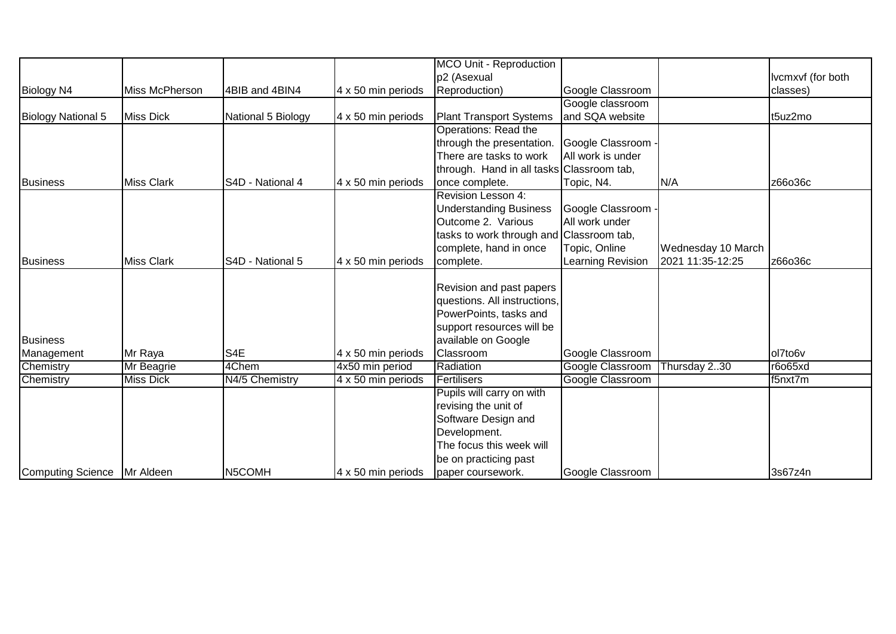|                    |                   |                     |                    | <b>MCO Unit - Reproduction</b>            |                    |                    |                   |
|--------------------|-------------------|---------------------|--------------------|-------------------------------------------|--------------------|--------------------|-------------------|
|                    |                   |                     |                    | p2 (Asexual                               |                    |                    | Ivcmxvf (for both |
| Biology N4         | Miss McPherson    | 4BIB and 4BIN4      | 4 x 50 min periods | Reproduction)                             | Google Classroom   |                    | classes)          |
|                    |                   |                     |                    |                                           | Google classroom   |                    |                   |
| Biology National 5 | <b>Miss Dick</b>  | National 5 Biology  | 4 x 50 min periods | <b>Plant Transport Systems</b>            | and SQA website    |                    | t5uz2mo           |
|                    |                   |                     |                    | Operations: Read the                      |                    |                    |                   |
|                    |                   |                     |                    | through the presentation.                 | Google Classroom - |                    |                   |
|                    |                   |                     |                    | There are tasks to work                   | All work is under  |                    |                   |
|                    |                   |                     |                    | through. Hand in all tasks Classroom tab, |                    |                    |                   |
| Business           | <b>Miss Clark</b> | S4D - National 4    | 4 x 50 min periods | once complete.                            | Topic, N4.         | N/A                | z66o36c           |
|                    |                   |                     |                    | Revision Lesson 4:                        |                    |                    |                   |
|                    |                   |                     |                    | <b>Understanding Business</b>             | Google Classroom - |                    |                   |
|                    |                   |                     |                    | Outcome 2. Various                        | All work under     |                    |                   |
|                    |                   |                     |                    | tasks to work through and Classroom tab,  |                    |                    |                   |
|                    |                   |                     |                    | complete, hand in once                    | Topic, Online      | Wednesday 10 March |                   |
| Business           | <b>Miss Clark</b> | S4D - National 5    | 4 x 50 min periods | complete.                                 | Learning Revision  | 2021 11:35-12:25   | z66o36c           |
|                    |                   |                     |                    |                                           |                    |                    |                   |
|                    |                   |                     |                    | Revision and past papers                  |                    |                    |                   |
|                    |                   |                     |                    | questions. All instructions,              |                    |                    |                   |
|                    |                   |                     |                    | PowerPoints, tasks and                    |                    |                    |                   |
|                    |                   |                     |                    | support resources will be                 |                    |                    |                   |
| Business           |                   |                     |                    | available on Google                       |                    |                    |                   |
| Management         | Mr Raya           | S4E                 | 4 x 50 min periods | Classroom                                 | Google Classroom   |                    | ol7to6v           |
| Chemistry          | Mr Beagrie        | 4Chem               | 4x50 min period    | Radiation                                 | Google Classroom   | Thursday 230       | r6o65xd           |
| Chemistry          | <b>Miss Dick</b>  | N4/5 Chemistry      | 4 x 50 min periods | Fertilisers                               | Google Classroom   |                    | f5nxt7m           |
|                    |                   |                     |                    | Pupils will carry on with                 |                    |                    |                   |
|                    |                   |                     |                    | revising the unit of                      |                    |                    |                   |
|                    |                   |                     |                    | Software Design and                       |                    |                    |                   |
|                    |                   |                     |                    | Development.                              |                    |                    |                   |
|                    |                   |                     |                    | The focus this week will                  |                    |                    |                   |
|                    |                   |                     |                    | be on practicing past                     |                    |                    |                   |
| Computing Science  | Mr Aldeen         | N <sub>5</sub> COMH | 4 x 50 min periods | paper coursework.                         | Google Classroom   |                    | 3s67z4n           |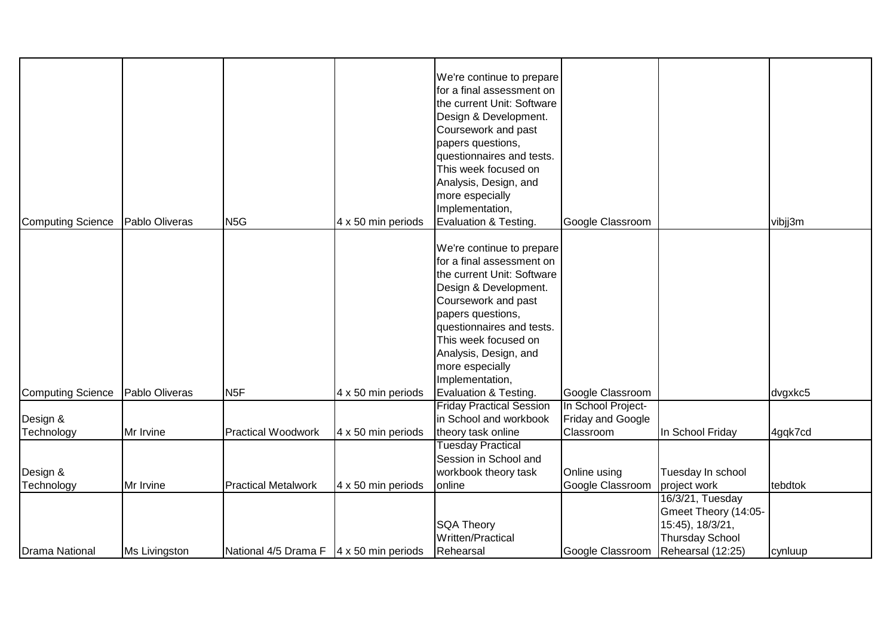| Computing Science | Pablo Oliveras | N <sub>5G</sub>                                        | 4 x 50 min periods | We're continue to prepare<br>for a final assessment on<br>the current Unit: Software<br>Design & Development.<br>Coursework and past<br>papers questions,<br>questionnaires and tests.<br>This week focused on<br>Analysis, Design, and<br>more especially<br>Implementation,<br>Evaluation & Testing. | Google Classroom                   |                        | vibjj3m |
|-------------------|----------------|--------------------------------------------------------|--------------------|--------------------------------------------------------------------------------------------------------------------------------------------------------------------------------------------------------------------------------------------------------------------------------------------------------|------------------------------------|------------------------|---------|
|                   |                |                                                        |                    |                                                                                                                                                                                                                                                                                                        |                                    |                        |         |
|                   |                |                                                        |                    | We're continue to prepare<br>for a final assessment on                                                                                                                                                                                                                                                 |                                    |                        |         |
|                   |                |                                                        |                    | the current Unit: Software                                                                                                                                                                                                                                                                             |                                    |                        |         |
|                   |                |                                                        |                    | Design & Development.                                                                                                                                                                                                                                                                                  |                                    |                        |         |
|                   |                |                                                        |                    | Coursework and past                                                                                                                                                                                                                                                                                    |                                    |                        |         |
|                   |                |                                                        |                    | papers questions,                                                                                                                                                                                                                                                                                      |                                    |                        |         |
|                   |                |                                                        |                    | questionnaires and tests.                                                                                                                                                                                                                                                                              |                                    |                        |         |
|                   |                |                                                        |                    | This week focused on                                                                                                                                                                                                                                                                                   |                                    |                        |         |
|                   |                |                                                        |                    | Analysis, Design, and                                                                                                                                                                                                                                                                                  |                                    |                        |         |
|                   |                |                                                        |                    | more especially                                                                                                                                                                                                                                                                                        |                                    |                        |         |
|                   |                |                                                        |                    | Implementation,                                                                                                                                                                                                                                                                                        |                                    |                        |         |
| Computing Science | Pablo Oliveras | N <sub>5F</sub>                                        | 4 x 50 min periods | Evaluation & Testing.                                                                                                                                                                                                                                                                                  | Google Classroom                   |                        | dvgxkc5 |
|                   |                |                                                        |                    | <b>Friday Practical Session</b>                                                                                                                                                                                                                                                                        | In School Project-                 |                        |         |
| Design &          |                |                                                        |                    | in School and workbook                                                                                                                                                                                                                                                                                 | Friday and Google                  |                        |         |
| Technology        | Mr Irvine      | <b>Practical Woodwork</b>                              | 4 x 50 min periods | theory task online                                                                                                                                                                                                                                                                                     | Classroom                          | In School Friday       | 4gqk7cd |
|                   |                |                                                        |                    | <b>Tuesday Practical</b>                                                                                                                                                                                                                                                                               |                                    |                        |         |
|                   |                |                                                        |                    | Session in School and                                                                                                                                                                                                                                                                                  |                                    |                        |         |
| Design &          |                |                                                        |                    | workbook theory task                                                                                                                                                                                                                                                                                   | Online using                       | Tuesday In school      |         |
| Technology        | Mr Irvine      | <b>Practical Metalwork</b>                             | 4 x 50 min periods | online                                                                                                                                                                                                                                                                                                 | Google Classroom                   | project work           | tebdtok |
|                   |                |                                                        |                    |                                                                                                                                                                                                                                                                                                        |                                    | 16/3/21, Tuesday       |         |
|                   |                |                                                        |                    |                                                                                                                                                                                                                                                                                                        |                                    | Gmeet Theory (14:05-   |         |
|                   |                |                                                        |                    | <b>SQA Theory</b>                                                                                                                                                                                                                                                                                      |                                    | 15:45), 18/3/21,       |         |
|                   |                |                                                        |                    | Written/Practical                                                                                                                                                                                                                                                                                      |                                    | <b>Thursday School</b> |         |
| Drama National    | Ms Livingston  | National $4/5$ Drama F $\vert 4 \times 50$ min periods |                    | Rehearsal                                                                                                                                                                                                                                                                                              | Google Classroom Rehearsal (12:25) |                        | cynluup |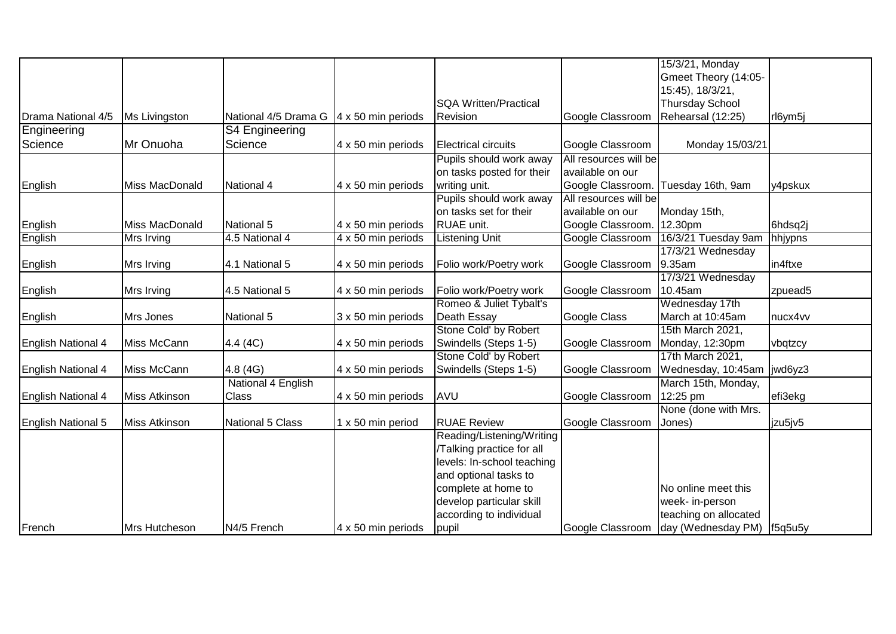|                    |                       |                      |                    |                              |                       | 15/3/21, Monday                     |         |
|--------------------|-----------------------|----------------------|--------------------|------------------------------|-----------------------|-------------------------------------|---------|
|                    |                       |                      |                    |                              |                       | Gmeet Theory (14:05-                |         |
|                    |                       |                      |                    |                              |                       | 15:45), 18/3/21,                    |         |
|                    |                       |                      |                    | <b>SQA Written/Practical</b> |                       | <b>Thursday School</b>              |         |
| Drama National 4/5 | Ms Livingston         | National 4/5 Drama G | 4 x 50 min periods | Revision                     | Google Classroom      | Rehearsal (12:25)                   | rl6ym5j |
| Engineering        |                       | S4 Engineering       |                    |                              |                       |                                     |         |
| Science            | Mr Onuoha             | Science              | 4 x 50 min periods | Electrical circuits          | Google Classroom      | Monday 15/03/21                     |         |
|                    |                       |                      |                    | Pupils should work away      | All resources will be |                                     |         |
|                    |                       |                      |                    | on tasks posted for their    | available on our      |                                     |         |
| English            | <b>Miss MacDonald</b> | National 4           | 4 x 50 min periods | writing unit.                |                       | Google Classroom. Tuesday 16th, 9am | y4pskux |
|                    |                       |                      |                    | Pupils should work away      | All resources will be |                                     |         |
|                    |                       |                      |                    | on tasks set for their       | available on our      | Monday 15th,                        |         |
| English            | Miss MacDonald        | National 5           | 4 x 50 min periods | RUAE unit.                   | Google Classroom.     | 12.30pm                             | 6hdsq2j |
| English            | Mrs Irving            | 4.5 National 4       | 4 x 50 min periods | <b>Listening Unit</b>        | Google Classroom      | 16/3/21 Tuesday 9am                 | hhjypns |
|                    |                       |                      |                    |                              |                       | 17/3/21 Wednesday                   |         |
| English            | Mrs Irving            | 4.1 National 5       | 4 x 50 min periods | Folio work/Poetry work       | Google Classroom      | 9.35am                              | in4ftxe |
|                    |                       |                      |                    |                              |                       | 17/3/21 Wednesday                   |         |
| English            | Mrs Irving            | 4.5 National 5       | 4 x 50 min periods | Folio work/Poetry work       | Google Classroom      | 10.45am                             | zpuead5 |
|                    |                       |                      |                    | Romeo & Juliet Tybalt's      |                       | Wednesday 17th                      |         |
| English            | Mrs Jones             | National 5           | 3 x 50 min periods | Death Essay                  | Google Class          | March at 10:45am                    | nucx4vv |
|                    |                       |                      |                    | Stone Cold' by Robert        |                       | 15th March 2021,                    |         |
| English National 4 | Miss McCann           | 4.4 (4C)             | 4 x 50 min periods | Swindells (Steps 1-5)        | Google Classroom      | Monday, 12:30pm                     | vbqtzcy |
|                    |                       |                      |                    | Stone Cold' by Robert        |                       | 17th March 2021,                    |         |
| English National 4 | Miss McCann           | 4.8 (4G)             | 4 x 50 min periods | Swindells (Steps 1-5)        | Google Classroom      | Wednesday, 10:45am                  | jwd6yz3 |
|                    |                       | National 4 English   |                    |                              |                       | March 15th, Monday,                 |         |
| English National 4 | Miss Atkinson         | Class                | 4 x 50 min periods | <b>AVU</b>                   | Google Classroom      | 12:25 pm                            | efi3ekg |
|                    |                       |                      |                    |                              |                       | None (done with Mrs.                |         |
| English National 5 | Miss Atkinson         | National 5 Class     | 1 x 50 min period  | <b>RUAE Review</b>           | Google Classroom      | Jones)                              | jzu5jv5 |
|                    |                       |                      |                    | Reading/Listening/Writing    |                       |                                     |         |
|                    |                       |                      |                    | Talking practice for all     |                       |                                     |         |
|                    |                       |                      |                    | levels: In-school teaching   |                       |                                     |         |
|                    |                       |                      |                    | and optional tasks to        |                       |                                     |         |
|                    |                       |                      |                    | complete at home to          |                       | No online meet this                 |         |
|                    |                       |                      |                    | develop particular skill     |                       | week- in-person                     |         |
|                    |                       |                      |                    | according to individual      |                       | teaching on allocated               |         |
| French             | Mrs Hutcheson         | N4/5 French          | 4 x 50 min periods | pupil                        | Google Classroom      | day (Wednesday PM)   f5q5u5y        |         |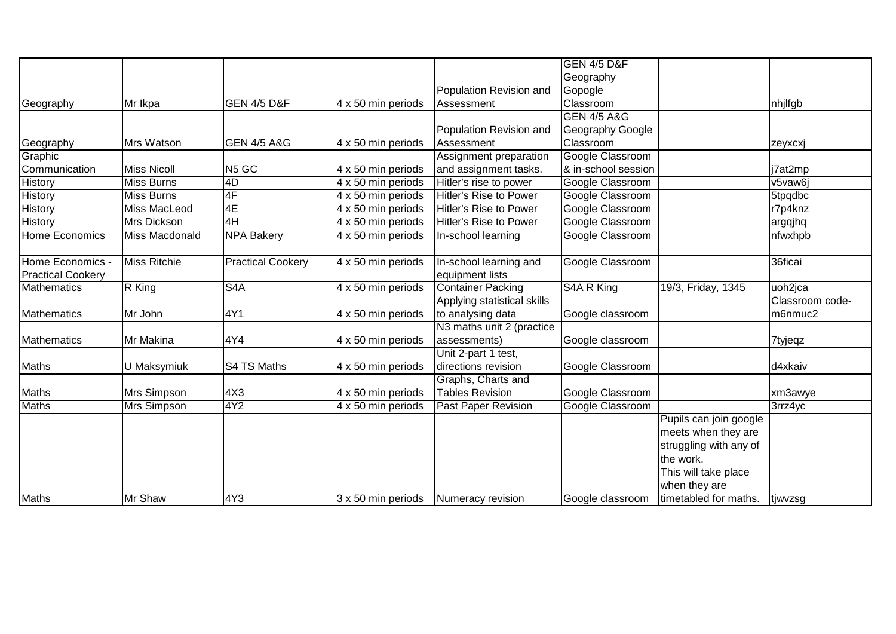|                          |                     |                          |                                      |                               | <b>GEN 4/5 D&amp;F</b> |                        |                 |
|--------------------------|---------------------|--------------------------|--------------------------------------|-------------------------------|------------------------|------------------------|-----------------|
|                          |                     |                          |                                      |                               | Geography              |                        |                 |
|                          |                     |                          |                                      | Population Revision and       | Gopogle                |                        |                 |
| Geography                | Mr Ikpa             | GEN 4/5 D&F              | 4 x 50 min periods                   | Assessment                    | Classroom              |                        | nhjlfgb         |
|                          |                     |                          |                                      |                               | <b>GEN 4/5 A&amp;G</b> |                        |                 |
|                          |                     |                          |                                      | Population Revision and       | Geography Google       |                        |                 |
| Geography                | Mrs Watson          | <b>GEN 4/5 A&amp;G</b>   | 4 x 50 min periods                   | Assessment                    | Classroom              |                        | zeyxcxj         |
| Graphic                  |                     |                          |                                      | Assignment preparation        | Google Classroom       |                        |                 |
| Communication            | <b>Miss Nicoll</b>  | N <sub>5</sub> GC        | 4 x 50 min periods                   | and assignment tasks.         | & in-school session    |                        | j7at2mp         |
| <b>History</b>           | <b>Miss Burns</b>   | 4D                       | 4 x 50 min periods                   | Hitler's rise to power        | Google Classroom       |                        | v5vaw6j         |
| <b>History</b>           | <b>Miss Burns</b>   | 4F                       | 4 x 50 min periods                   | <b>Hitler's Rise to Power</b> | Google Classroom       |                        | 5tpqdbc         |
| <b>History</b>           | <b>Miss MacLeod</b> | 4E                       | 4 x 50 min periods                   | <b>Hitler's Rise to Power</b> | Google Classroom       |                        | r7p4knz         |
| <b>History</b>           | <b>Mrs Dickson</b>  | 4H                       | 4 x 50 min periods                   | <b>Hitler's Rise to Power</b> | Google Classroom       |                        | argqjhq         |
| Home Economics           | Miss Macdonald      | <b>NPA Bakery</b>        | $\overline{4 \times 50}$ min periods | In-school learning            | Google Classroom       |                        | nfwxhpb         |
|                          |                     |                          |                                      |                               |                        |                        |                 |
| Home Economics           | <b>Miss Ritchie</b> | <b>Practical Cookery</b> | 4 x 50 min periods                   | In-school learning and        | Google Classroom       |                        | 36ficai         |
| <b>Practical Cookery</b> |                     |                          |                                      | equipment lists               |                        |                        |                 |
| Mathematics              | R King              | S <sub>4</sub> A         | 4 x 50 min periods                   | <b>Container Packing</b>      | S4A R King             | 19/3, Friday, 1345     | uoh2jca         |
|                          |                     |                          |                                      | Applying statistical skills   |                        |                        | Classroom code- |
| Mathematics              | Mr John             | 4Y1                      | 4 x 50 min periods                   | to analysing data             | Google classroom       |                        | m6nmuc2         |
|                          |                     |                          |                                      | N3 maths unit 2 (practice     |                        |                        |                 |
| Mathematics              | Mr Makina           | 4Y4                      | 4 x 50 min periods                   | assessments)                  | Google classroom       |                        | 7tyjeqz         |
|                          |                     |                          |                                      | Unit 2-part 1 test,           |                        |                        |                 |
| Maths                    | U Maksymiuk         | S4 TS Maths              | 4 x 50 min periods                   | directions revision           | Google Classroom       |                        | d4xkaiv         |
|                          |                     |                          |                                      | Graphs, Charts and            |                        |                        |                 |
| Maths                    | Mrs Simpson         | 4X3                      | 4 x 50 min periods                   | <b>Tables Revision</b>        | Google Classroom       |                        | xm3awye         |
| <b>Maths</b>             | Mrs Simpson         | 4Y <sub>2</sub>          | 4 x 50 min periods                   | <b>Past Paper Revision</b>    | Google Classroom       |                        | 3rrz4yc         |
|                          |                     |                          |                                      |                               |                        | Pupils can join google |                 |
|                          |                     |                          |                                      |                               |                        | meets when they are    |                 |
|                          |                     |                          |                                      |                               |                        | struggling with any of |                 |
|                          |                     |                          |                                      |                               |                        | the work.              |                 |
|                          |                     |                          |                                      |                               |                        | This will take place   |                 |
|                          |                     |                          |                                      |                               |                        | when they are          |                 |
| Maths                    | Mr Shaw             | 4Y3                      | 3 x 50 min periods                   | Numeracy revision             | Google classroom       | timetabled for maths.  | ∣tjwvzsg        |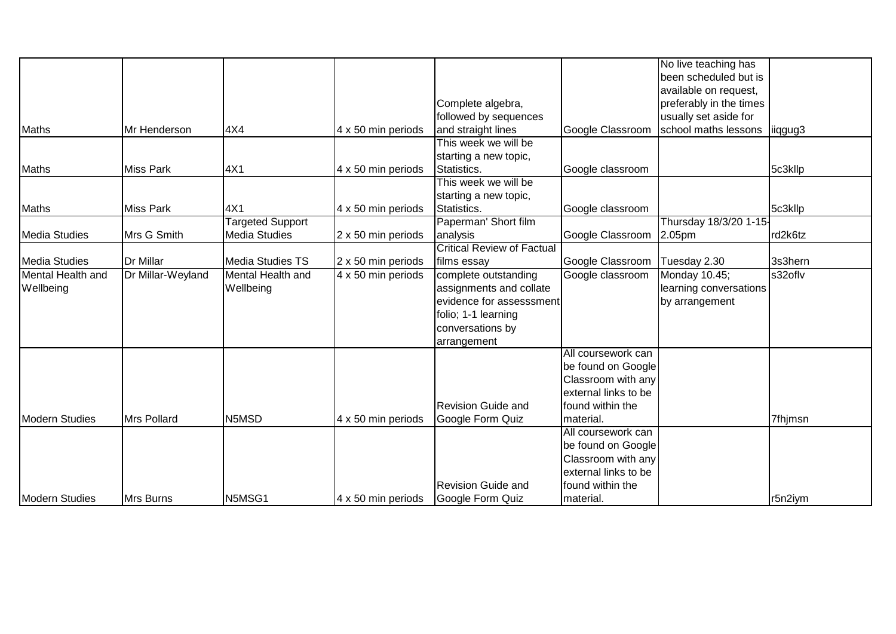|                       |                   |                         |                                      |                                   |                      | No live teaching has    |         |
|-----------------------|-------------------|-------------------------|--------------------------------------|-----------------------------------|----------------------|-------------------------|---------|
|                       |                   |                         |                                      |                                   |                      | been scheduled but is   |         |
|                       |                   |                         |                                      |                                   |                      | available on request,   |         |
|                       |                   |                         |                                      | Complete algebra,                 |                      | preferably in the times |         |
|                       |                   |                         |                                      | followed by sequences             |                      | usually set aside for   |         |
| Maths                 | Mr Henderson      | 4X4                     | 4 x 50 min periods                   | and straight lines                | Google Classroom     | school maths lessons    | liggug3 |
|                       |                   |                         |                                      | This week we will be              |                      |                         |         |
|                       |                   |                         |                                      | starting a new topic,             |                      |                         |         |
| Maths                 | <b>Miss Park</b>  | 4X1                     | 4 x 50 min periods                   | Statistics.                       | Google classroom     |                         | 5c3kllp |
|                       |                   |                         |                                      | This week we will be              |                      |                         |         |
|                       |                   |                         |                                      | starting a new topic,             |                      |                         |         |
| Maths                 | <b>Miss Park</b>  | 4X1                     | 4 x 50 min periods                   | Statistics.                       | Google classroom     |                         | 5c3kllp |
|                       |                   | <b>Targeted Support</b> |                                      | Paperman' Short film              |                      | Thursday 18/3/20 1-15-  |         |
| Media Studies         | Mrs G Smith       | <b>Media Studies</b>    | 2 x 50 min periods                   | analysis                          | Google Classroom     | 2.05pm                  | rd2k6tz |
|                       |                   |                         |                                      | <b>Critical Review of Factual</b> |                      |                         |         |
| Media Studies         | Dr Millar         | Media Studies TS        | 2 x 50 min periods                   | films essay                       | Google Classroom     | Tuesday 2.30            | 3s3hern |
| Mental Health and     | Dr Millar-Weyland | Mental Health and       | $\overline{4 \times 50}$ min periods | complete outstanding              | Google classroom     | Monday 10.45;           | s32oflv |
| Wellbeing             |                   | Wellbeing               |                                      | assignments and collate           |                      | learning conversations  |         |
|                       |                   |                         |                                      | evidence for assesssment          |                      | by arrangement          |         |
|                       |                   |                         |                                      | folio; 1-1 learning               |                      |                         |         |
|                       |                   |                         |                                      | conversations by                  |                      |                         |         |
|                       |                   |                         |                                      | arrangement                       |                      |                         |         |
|                       |                   |                         |                                      |                                   | All coursework can   |                         |         |
|                       |                   |                         |                                      |                                   | be found on Google   |                         |         |
|                       |                   |                         |                                      |                                   | Classroom with any   |                         |         |
|                       |                   |                         |                                      |                                   | external links to be |                         |         |
|                       |                   |                         |                                      | <b>Revision Guide and</b>         | found within the     |                         |         |
| Modern Studies        | Mrs Pollard       | N5MSD                   | 4 x 50 min periods                   | Google Form Quiz                  | material.            |                         | 7fhjmsn |
|                       |                   |                         |                                      |                                   | All coursework can   |                         |         |
|                       |                   |                         |                                      |                                   | be found on Google   |                         |         |
|                       |                   |                         |                                      |                                   | Classroom with any   |                         |         |
|                       |                   |                         |                                      |                                   | external links to be |                         |         |
|                       |                   |                         |                                      | <b>Revision Guide and</b>         | found within the     |                         |         |
| <b>Modern Studies</b> | Mrs Burns         | N5MSG1                  | 4 x 50 min periods                   | Google Form Quiz                  | material.            |                         | r5n2iym |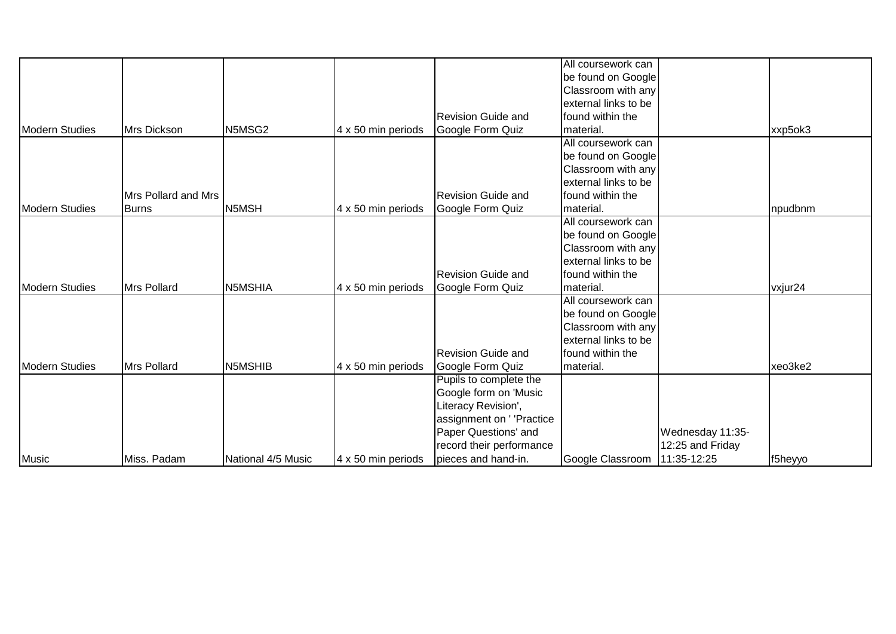|                       |                     |                    |                    |                           | All coursework can   |                  |         |
|-----------------------|---------------------|--------------------|--------------------|---------------------------|----------------------|------------------|---------|
|                       |                     |                    |                    |                           | be found on Google   |                  |         |
|                       |                     |                    |                    |                           | Classroom with any   |                  |         |
|                       |                     |                    |                    |                           | external links to be |                  |         |
|                       |                     |                    |                    | <b>Revision Guide and</b> | found within the     |                  |         |
| <b>Modern Studies</b> | Mrs Dickson         | N5MSG2             | 4 x 50 min periods | Google Form Quiz          | material.            |                  | xxp5ok3 |
|                       |                     |                    |                    |                           | All coursework can   |                  |         |
|                       |                     |                    |                    |                           | be found on Google   |                  |         |
|                       |                     |                    |                    |                           | Classroom with any   |                  |         |
|                       |                     |                    |                    |                           | external links to be |                  |         |
|                       | Mrs Pollard and Mrs |                    |                    | <b>Revision Guide and</b> | found within the     |                  |         |
| Modern Studies        | <b>Burns</b>        | N <sub>5MSH</sub>  | 4 x 50 min periods | Google Form Quiz          | material.            |                  | npudbnm |
|                       |                     |                    |                    |                           | All coursework can   |                  |         |
|                       |                     |                    |                    |                           | be found on Google   |                  |         |
|                       |                     |                    |                    |                           | Classroom with any   |                  |         |
|                       |                     |                    |                    |                           | external links to be |                  |         |
|                       |                     |                    |                    | <b>Revision Guide and</b> | found within the     |                  |         |
| Modern Studies        | Mrs Pollard         | N5MSHIA            | 4 x 50 min periods | Google Form Quiz          | material.            |                  | vxjur24 |
|                       |                     |                    |                    |                           | All coursework can   |                  |         |
|                       |                     |                    |                    |                           | be found on Google   |                  |         |
|                       |                     |                    |                    |                           | Classroom with any   |                  |         |
|                       |                     |                    |                    |                           | external links to be |                  |         |
|                       |                     |                    |                    | <b>Revision Guide and</b> | found within the     |                  |         |
| Modern Studies        | Mrs Pollard         | N5MSHIB            | 4 x 50 min periods | Google Form Quiz          | material.            |                  | xeo3ke2 |
|                       |                     |                    |                    | Pupils to complete the    |                      |                  |         |
|                       |                     |                    |                    | Google form on 'Music     |                      |                  |         |
|                       |                     |                    |                    | Literacy Revision',       |                      |                  |         |
|                       |                     |                    |                    | assignment on ' 'Practice |                      |                  |         |
|                       |                     |                    |                    | Paper Questions' and      |                      | Wednesday 11:35- |         |
|                       |                     |                    |                    | record their performance  |                      | 12:25 and Friday |         |
| Music                 | Miss. Padam         | National 4/5 Music | 4 x 50 min periods | pieces and hand-in.       | Google Classroom     | 11:35-12:25      | f5heyyo |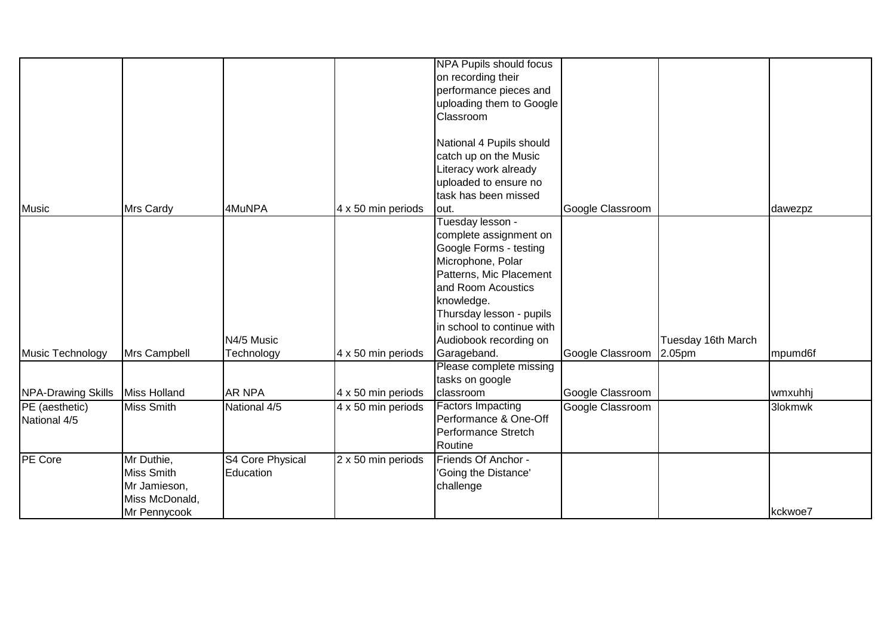|                    |                |                  |                           | <b>NPA Pupils should focus</b> |                  |                    |         |
|--------------------|----------------|------------------|---------------------------|--------------------------------|------------------|--------------------|---------|
|                    |                |                  |                           | on recording their             |                  |                    |         |
|                    |                |                  |                           | performance pieces and         |                  |                    |         |
|                    |                |                  |                           | uploading them to Google       |                  |                    |         |
|                    |                |                  |                           | Classroom                      |                  |                    |         |
|                    |                |                  |                           |                                |                  |                    |         |
|                    |                |                  |                           | National 4 Pupils should       |                  |                    |         |
|                    |                |                  |                           | catch up on the Music          |                  |                    |         |
|                    |                |                  |                           | Literacy work already          |                  |                    |         |
|                    |                |                  |                           | uploaded to ensure no          |                  |                    |         |
|                    |                |                  |                           | task has been missed           |                  |                    |         |
| <b>Music</b>       | Mrs Cardy      | 4MuNPA           | 4 x 50 min periods        | lout.                          | Google Classroom |                    | dawezpz |
|                    |                |                  |                           | Tuesday lesson -               |                  |                    |         |
|                    |                |                  |                           | complete assignment on         |                  |                    |         |
|                    |                |                  |                           | Google Forms - testing         |                  |                    |         |
|                    |                |                  |                           | Microphone, Polar              |                  |                    |         |
|                    |                |                  |                           | Patterns, Mic Placement        |                  |                    |         |
|                    |                |                  |                           | and Room Acoustics             |                  |                    |         |
|                    |                |                  |                           | knowledge.                     |                  |                    |         |
|                    |                |                  |                           | Thursday lesson - pupils       |                  |                    |         |
|                    |                |                  |                           | in school to continue with     |                  |                    |         |
|                    |                | N4/5 Music       |                           | Audiobook recording on         |                  | Tuesday 16th March |         |
| Music Technology   | Mrs Campbell   | Technology       | 4 x 50 min periods        | Garageband.                    | Google Classroom | 2.05pm             | mpumd6f |
|                    |                |                  |                           | Please complete missing        |                  |                    |         |
|                    |                |                  |                           | tasks on google                |                  |                    |         |
| NPA-Drawing Skills | Miss Holland   | <b>AR NPA</b>    | 4 x 50 min periods        | classroom                      | Google Classroom |                    | wmxuhhj |
| PE (aesthetic)     | Miss Smith     | National 4/5     | $4 \times 50$ min periods | <b>Factors Impacting</b>       | Google Classroom |                    | 3lokmwk |
| National 4/5       |                |                  |                           | Performance & One-Off          |                  |                    |         |
|                    |                |                  |                           | Performance Stretch            |                  |                    |         |
|                    |                |                  |                           | Routine                        |                  |                    |         |
| PE Core            | Mr Duthie,     | S4 Core Physical | 2 x 50 min periods        | Friends Of Anchor -            |                  |                    |         |
|                    | Miss Smith     | Education        |                           | 'Going the Distance'           |                  |                    |         |
|                    | Mr Jamieson,   |                  |                           | challenge                      |                  |                    |         |
|                    | Miss McDonald, |                  |                           |                                |                  |                    |         |
|                    | Mr Pennycook   |                  |                           |                                |                  |                    | kckwoe7 |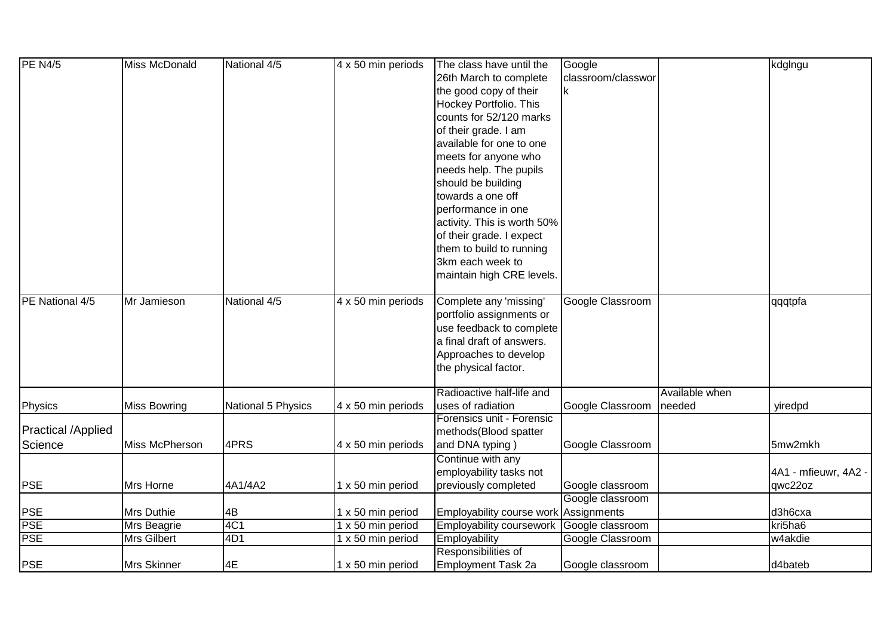| <b>PE N4/5</b>            | Miss McDonald       | National 4/5       | 4 x 50 min periods | The class have until the              | Google             |                | kdglngu              |
|---------------------------|---------------------|--------------------|--------------------|---------------------------------------|--------------------|----------------|----------------------|
|                           |                     |                    |                    | 26th March to complete                | classroom/classwor |                |                      |
|                           |                     |                    |                    | the good copy of their                | k                  |                |                      |
|                           |                     |                    |                    | Hockey Portfolio. This                |                    |                |                      |
|                           |                     |                    |                    | counts for 52/120 marks               |                    |                |                      |
|                           |                     |                    |                    | of their grade. I am                  |                    |                |                      |
|                           |                     |                    |                    | available for one to one              |                    |                |                      |
|                           |                     |                    |                    | meets for anyone who                  |                    |                |                      |
|                           |                     |                    |                    | needs help. The pupils                |                    |                |                      |
|                           |                     |                    |                    | should be building                    |                    |                |                      |
|                           |                     |                    |                    | towards a one off                     |                    |                |                      |
|                           |                     |                    |                    | performance in one                    |                    |                |                      |
|                           |                     |                    |                    | activity. This is worth 50%           |                    |                |                      |
|                           |                     |                    |                    | of their grade. I expect              |                    |                |                      |
|                           |                     |                    |                    | them to build to running              |                    |                |                      |
|                           |                     |                    |                    | 3km each week to                      |                    |                |                      |
|                           |                     |                    |                    | maintain high CRE levels.             |                    |                |                      |
|                           |                     |                    |                    |                                       |                    |                |                      |
| PE National 4/5           | Mr Jamieson         | National 4/5       | 4 x 50 min periods | Complete any 'missing'                | Google Classroom   |                | qqqtpfa              |
|                           |                     |                    |                    | portfolio assignments or              |                    |                |                      |
|                           |                     |                    |                    | use feedback to complete              |                    |                |                      |
|                           |                     |                    |                    | a final draft of answers.             |                    |                |                      |
|                           |                     |                    |                    | Approaches to develop                 |                    |                |                      |
|                           |                     |                    |                    | the physical factor.                  |                    |                |                      |
|                           |                     |                    |                    |                                       |                    |                |                      |
|                           |                     |                    |                    | Radioactive half-life and             |                    | Available when |                      |
| Physics                   | <b>Miss Bowring</b> | National 5 Physics | 4 x 50 min periods | uses of radiation                     | Google Classroom   | Ineeded        | yiredpd              |
|                           |                     |                    |                    | Forensics unit - Forensic             |                    |                |                      |
| <b>Practical /Applied</b> |                     |                    |                    | methods(Blood spatter                 |                    |                |                      |
| Science                   | Miss McPherson      | 4PRS               | 4 x 50 min periods | and DNA typing)                       | Google Classroom   |                | 5mw2mkh              |
|                           |                     |                    |                    | Continue with any                     |                    |                |                      |
|                           |                     |                    |                    | employability tasks not               |                    |                | 4A1 - mfieuwr, 4A2 - |
| <b>PSE</b>                | Mrs Horne           | 4A1/4A2            | 1 x 50 min period  | previously completed                  | Google classroom   |                | qwc22oz              |
|                           |                     |                    |                    |                                       | Google classroom   |                |                      |
| PSE                       | Mrs Duthie          | 4B                 | 1 x 50 min period  | Employability course work Assignments |                    |                | d3h6cxa              |
| <b>PSE</b>                | Mrs Beagrie         | 4C1                | 1 x 50 min period  | Employability coursework              | Google classroom   |                | kri5ha6              |
| <b>PSE</b>                | <b>Mrs Gilbert</b>  | 4D1                | 1 x 50 min period  | Employability                         | Google Classroom   |                | w4akdie              |
|                           |                     |                    |                    | Responsibilities of                   |                    |                |                      |
| <b>PSE</b>                | Mrs Skinner         | 4E                 | 1 x 50 min period  | <b>Employment Task 2a</b>             | Google classroom   |                | d4bateb              |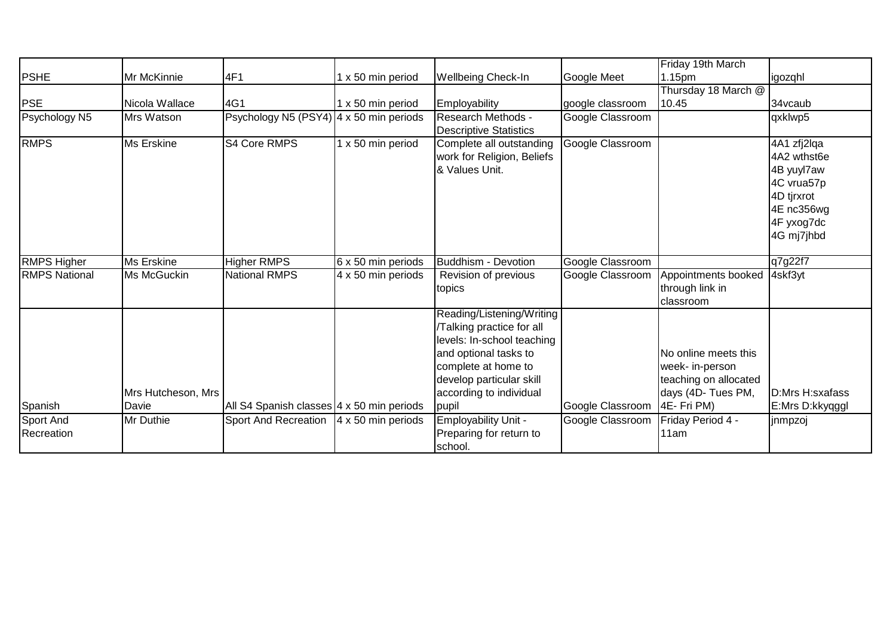|                         |                             |                                           |                    |                                                                                                                                                                                                     |                  | Friday 19th March                                                                                     |                                                                                                                |
|-------------------------|-----------------------------|-------------------------------------------|--------------------|-----------------------------------------------------------------------------------------------------------------------------------------------------------------------------------------------------|------------------|-------------------------------------------------------------------------------------------------------|----------------------------------------------------------------------------------------------------------------|
| <b>PSHE</b>             | Mr McKinnie                 | 4F1                                       | 1 x 50 min period  | <b>Wellbeing Check-In</b>                                                                                                                                                                           | Google Meet      | 1.15pm                                                                                                | igozqhl                                                                                                        |
|                         |                             |                                           |                    |                                                                                                                                                                                                     |                  | Thursday 18 March @                                                                                   |                                                                                                                |
| <b>PSE</b>              | Nicola Wallace              | 4G1                                       | 1 x 50 min period  | Employability                                                                                                                                                                                       | google classroom | 10.45                                                                                                 | 34vcaub                                                                                                        |
| Psychology N5           | Mrs Watson                  | Psychology N5 (PSY4) 4 x 50 min periods   |                    | Research Methods -<br><b>Descriptive Statistics</b>                                                                                                                                                 | Google Classroom |                                                                                                       | qxklwp5                                                                                                        |
| <b>RMPS</b>             | Ms Erskine                  | S4 Core RMPS                              | 1 x 50 min period  | Complete all outstanding<br>work for Religion, Beliefs<br>& Values Unit.                                                                                                                            | Google Classroom |                                                                                                       | 4A1 zfj2lqa<br>4A2 wthst6e<br>4B yuyl7aw<br>4C vrua57p<br>4D tjrxrot<br>4E nc356wg<br>4F yxog7dc<br>4G mj7jhbd |
| <b>RMPS Higher</b>      | Ms Erskine                  | <b>Higher RMPS</b>                        | 6 x 50 min periods | Buddhism - Devotion                                                                                                                                                                                 | Google Classroom |                                                                                                       | q7g22f7                                                                                                        |
| <b>RMPS National</b>    | Ms McGuckin                 | <b>National RMPS</b>                      | 4 x 50 min periods | Revision of previous<br>topics                                                                                                                                                                      | Google Classroom | Appointments booked<br>through link in<br>classroom                                                   | 4skf3yt                                                                                                        |
| Spanish                 | Mrs Hutcheson, Mrs<br>Davie | All S4 Spanish classes 4 x 50 min periods |                    | Reading/Listening/Writing<br>Talking practice for all<br>levels: In-school teaching<br>and optional tasks to<br>complete at home to<br>develop particular skill<br>according to individual<br>pupil | Google Classroom | No online meets this<br>week- in-person<br>teaching on allocated<br>days (4D- Tues PM,<br>4E- Fri PM) | D:Mrs H:sxafass<br>E:Mrs D:kkyqggl                                                                             |
| Sport And<br>Recreation | Mr Duthie                   | Sport And Recreation   4 x 50 min periods |                    | Employability Unit -<br>Preparing for return to<br>school.                                                                                                                                          | Google Classroom | Friday Period 4 -<br>11am                                                                             | jnmpzoj                                                                                                        |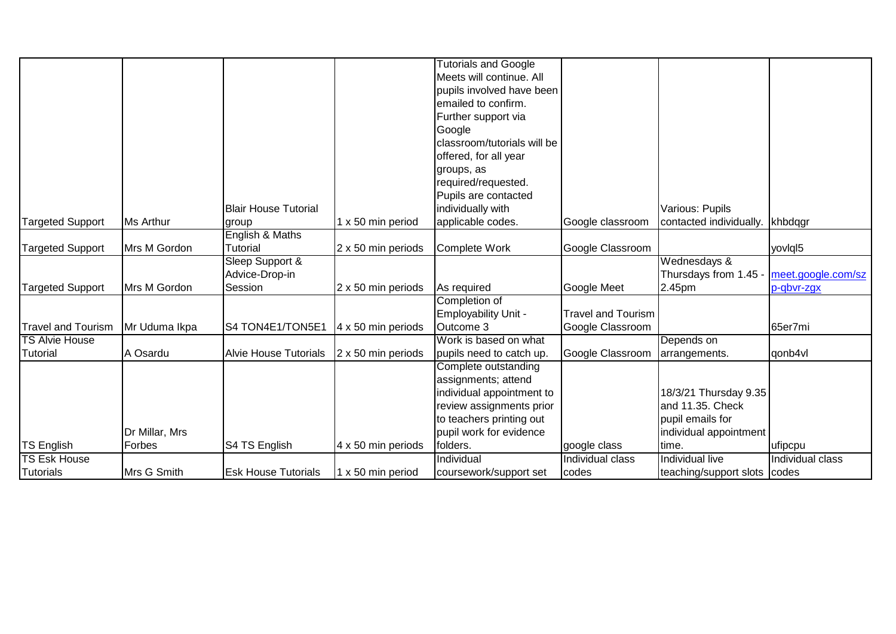|                           |                |                              |                    | <b>Tutorials and Google</b> |                           |                              |                    |
|---------------------------|----------------|------------------------------|--------------------|-----------------------------|---------------------------|------------------------------|--------------------|
|                           |                |                              |                    | Meets will continue. All    |                           |                              |                    |
|                           |                |                              |                    | pupils involved have been   |                           |                              |                    |
|                           |                |                              |                    | emailed to confirm.         |                           |                              |                    |
|                           |                |                              |                    | Further support via         |                           |                              |                    |
|                           |                |                              |                    | Google                      |                           |                              |                    |
|                           |                |                              |                    | classroom/tutorials will be |                           |                              |                    |
|                           |                |                              |                    | offered, for all year       |                           |                              |                    |
|                           |                |                              |                    | groups, as                  |                           |                              |                    |
|                           |                |                              |                    | required/requested.         |                           |                              |                    |
|                           |                |                              |                    | Pupils are contacted        |                           |                              |                    |
|                           |                | <b>Blair House Tutorial</b>  |                    | individually with           |                           | Various: Pupils              |                    |
| Targeted Support          | Ms Arthur      | group                        | 1 x 50 min period  | applicable codes.           | Google classroom          | contacted individually.      | khbdqgr            |
|                           |                | English & Maths              |                    |                             |                           |                              |                    |
| <b>Targeted Support</b>   | Mrs M Gordon   | Tutorial                     | 2 x 50 min periods | Complete Work               | Google Classroom          |                              | yovigl5            |
|                           |                | Sleep Support &              |                    |                             |                           | Wednesdays &                 |                    |
|                           |                | Advice-Drop-in               |                    |                             |                           | Thursdays from 1.45          | meet.google.com/sz |
| Targeted Support          | Mrs M Gordon   | Session                      | 2 x 50 min periods | As required                 | Google Meet               | 2.45pm                       | p-gbvr-zgx         |
|                           |                |                              |                    | Completion of               |                           |                              |                    |
|                           |                |                              |                    | Employability Unit -        | <b>Travel and Tourism</b> |                              |                    |
| <b>Travel and Tourism</b> | Mr Uduma Ikpa  | S4 TON4E1/TON5E1             | 4 x 50 min periods | Outcome 3                   | Google Classroom          |                              | 65er7mi            |
| <b>TS Alvie House</b>     |                |                              |                    | Work is based on what       |                           | Depends on                   |                    |
| Tutorial                  | A Osardu       | <b>Alvie House Tutorials</b> | 2 x 50 min periods | pupils need to catch up.    | Google Classroom          | arrangements.                | qonb4vl            |
|                           |                |                              |                    | Complete outstanding        |                           |                              |                    |
|                           |                |                              |                    | assignments; attend         |                           |                              |                    |
|                           |                |                              |                    | individual appointment to   |                           | 18/3/21 Thursday 9.35        |                    |
|                           |                |                              |                    | review assignments prior    |                           | and 11.35. Check             |                    |
|                           |                |                              |                    | to teachers printing out    |                           | pupil emails for             |                    |
|                           | Dr Millar, Mrs |                              |                    | pupil work for evidence     |                           | individual appointment       |                    |
| <b>TS English</b>         | Forbes         | S4 TS English                | 4 x 50 min periods | folders.                    | google class              | time.                        | ufipcpu            |
| <b>TS Esk House</b>       |                |                              |                    | Individual                  | Individual class          | Individual live              | Individual class   |
| Tutorials                 | Mrs G Smith    | <b>Esk House Tutorials</b>   | 1 x 50 min period  | coursework/support set      | codes                     | teaching/support slots codes |                    |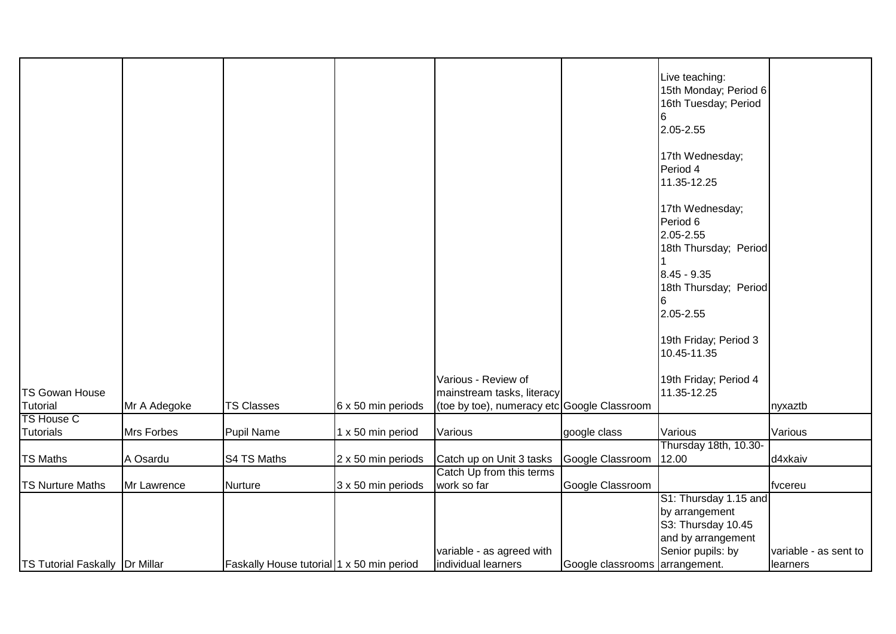|                                       |              |                                           |                    |                                                  |                                | Live teaching:<br>15th Monday; Period 6<br>16th Tuesday; Period<br>2.05-2.55<br>17th Wednesday;<br>Period 4<br>11.35-12.25<br>17th Wednesday;<br>Period 6<br>2.05-2.55<br>18th Thursday; Period<br>8.45 - 9.35<br>18th Thursday; Period<br>2.05-2.55<br>19th Friday; Period 3<br>10.45-11.35 |                       |
|---------------------------------------|--------------|-------------------------------------------|--------------------|--------------------------------------------------|--------------------------------|----------------------------------------------------------------------------------------------------------------------------------------------------------------------------------------------------------------------------------------------------------------------------------------------|-----------------------|
|                                       |              |                                           |                    |                                                  |                                |                                                                                                                                                                                                                                                                                              |                       |
|                                       |              |                                           |                    | Various - Review of                              |                                | 19th Friday; Period 4                                                                                                                                                                                                                                                                        |                       |
| <b>TS Gowan House</b>                 |              |                                           |                    | mainstream tasks, literacy                       |                                | 11.35-12.25                                                                                                                                                                                                                                                                                  |                       |
| Tutorial                              | Mr A Adegoke | <b>TS Classes</b>                         | 6 x 50 min periods | (toe by toe), numeracy etc Google Classroom      |                                |                                                                                                                                                                                                                                                                                              | nyxaztb               |
| TS House C                            |              |                                           |                    |                                                  |                                |                                                                                                                                                                                                                                                                                              |                       |
| <b>Tutorials</b>                      | Mrs Forbes   | <b>Pupil Name</b>                         | 1 x 50 min period  | Various                                          | google class                   | Various                                                                                                                                                                                                                                                                                      | Various               |
|                                       |              |                                           |                    |                                                  |                                | Thursday 18th, 10.30-                                                                                                                                                                                                                                                                        |                       |
| <b>TS Maths</b>                       | A Osardu     | S4 TS Maths                               | 2 x 50 min periods | Catch up on Unit 3 tasks                         | Google Classroom               | 12.00                                                                                                                                                                                                                                                                                        | d4xkaiv               |
|                                       |              |                                           |                    | Catch Up from this terms                         |                                |                                                                                                                                                                                                                                                                                              |                       |
| <b>TS Nurture Maths</b>               | Mr Lawrence  | <b>Nurture</b>                            | 3 x 50 min periods | work so far                                      | Google Classroom               |                                                                                                                                                                                                                                                                                              | fvcereu               |
|                                       |              |                                           |                    |                                                  |                                | S1: Thursday 1.15 and                                                                                                                                                                                                                                                                        |                       |
|                                       |              |                                           |                    |                                                  |                                | by arrangement                                                                                                                                                                                                                                                                               |                       |
|                                       |              |                                           |                    |                                                  |                                | S3: Thursday 10.45                                                                                                                                                                                                                                                                           |                       |
|                                       |              |                                           |                    |                                                  |                                | and by arrangement                                                                                                                                                                                                                                                                           |                       |
| <b>TS Tutorial Faskally Dr Millar</b> |              | Faskally House tutorial 1 x 50 min period |                    | variable - as agreed with<br>individual learners | Google classrooms arrangement. | Senior pupils: by                                                                                                                                                                                                                                                                            | variable - as sent to |
|                                       |              |                                           |                    |                                                  |                                |                                                                                                                                                                                                                                                                                              | llearners             |